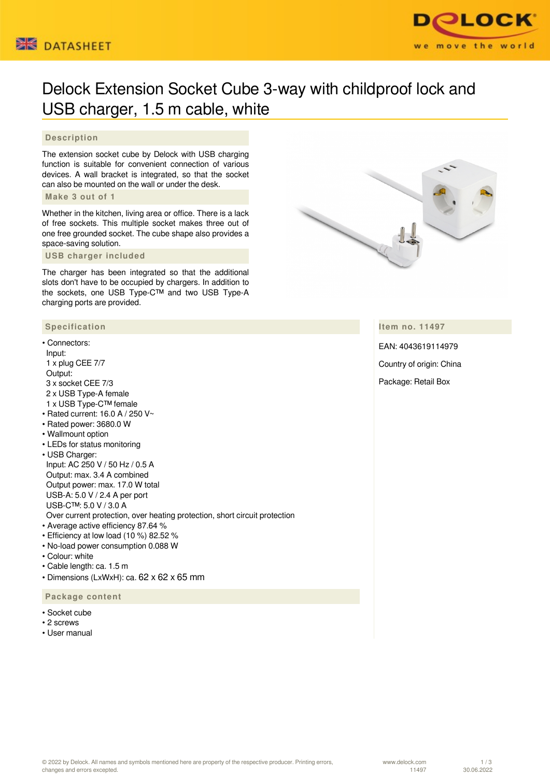



# Delock Extension Socket Cube 3-way with childproof lock and USB charger, 1.5 m cable, white

## **Description**

The extension socket cube by Delock with USB charging function is suitable for convenient connection of various devices. A wall bracket is integrated, so that the socket can also be mounted on the wall or under the desk.

#### **Make 3 out of 1**

Whether in the kitchen, living area or office. There is a lack of free sockets. This multiple socket makes three out of one free grounded socket. The cube shape also provides a space-saving solution.

 **USB charger included**

The charger has been integrated so that the additional slots don't have to be occupied by chargers. In addition to the sockets, one USB Type-C™ and two USB Type-A charging ports are provided.

## **Specification**

## • Connectors:

- Input: 1 x plug CEE 7/7 Output: 3 x socket CEE 7/3 2 x USB Type-A female 1 x USB Type-C™ female • Rated current: 16.0 A / 250 V~
- Rated power: 3680.0 W
- Wallmount option
- LEDs for status monitoring
- USB Charger: Input: AC 250 V / 50 Hz / 0.5 A Output: max. 3.4 A combined Output power: max. 17.0 W total USB-A: 5.0 V / 2.4 A per port USB-C™: 5.0 V / 3.0 A

Over current protection, over heating protection, short circuit protection

- Average active efficiency 87.64 %
- Efficiency at low load (10 %) 82.52 %
- No-load power consumption 0.088 W
- Colour: white
- Cable length: ca. 1.5 m
- Dimensions (LxWxH): ca. 62 x 62 x 65 mm

 **Package content**

- Socket cube
- 2 screws
- User manual



## **Item no. 11497**

EAN: 4043619114979 Country of origin: China Package: Retail Box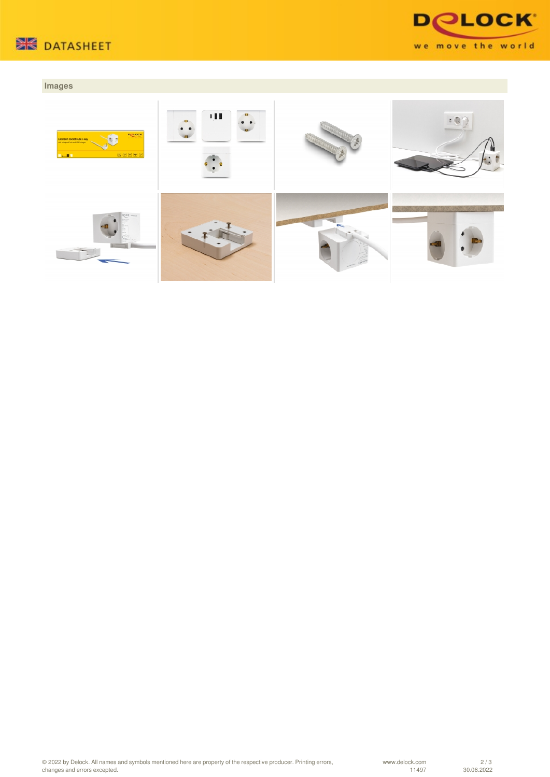